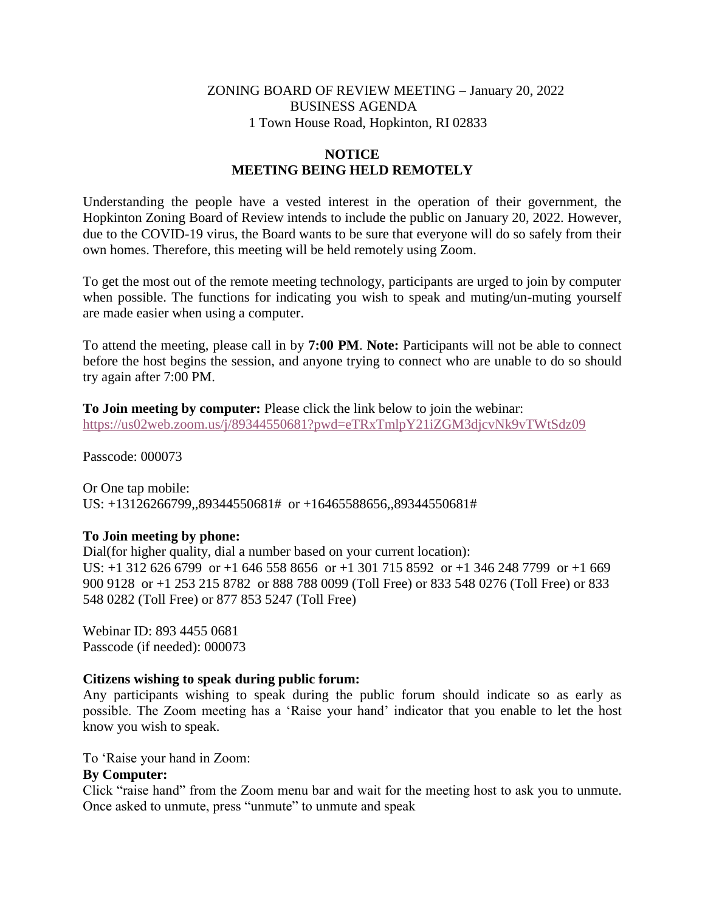## ZONING BOARD OF REVIEW MEETING – January 20, 2022 BUSINESS AGENDA 1 Town House Road, Hopkinton, RI 02833

# **NOTICE MEETING BEING HELD REMOTELY**

Understanding the people have a vested interest in the operation of their government, the Hopkinton Zoning Board of Review intends to include the public on January 20, 2022. However, due to the COVID-19 virus, the Board wants to be sure that everyone will do so safely from their own homes. Therefore, this meeting will be held remotely using Zoom.

To get the most out of the remote meeting technology, participants are urged to join by computer when possible. The functions for indicating you wish to speak and muting/un-muting yourself are made easier when using a computer.

To attend the meeting, please call in by **7:00 PM**. **Note:** Participants will not be able to connect before the host begins the session, and anyone trying to connect who are unable to do so should try again after 7:00 PM.

**To Join meeting by computer:** Please click the link below to join the webinar: <https://us02web.zoom.us/j/89344550681?pwd=eTRxTmlpY21iZGM3djcvNk9vTWtSdz09>

Passcode: 000073

Or One tap mobile: US: +13126266799,,89344550681# or +16465588656,,89344550681#

## **To Join meeting by phone:**

Dial(for higher quality, dial a number based on your current location): US: +1 312 626 6799 or +1 646 558 8656 or +1 301 715 8592 or +1 346 248 7799 or +1 669 900 9128 or +1 253 215 8782 or 888 788 0099 (Toll Free) or 833 548 0276 (Toll Free) or 833 548 0282 (Toll Free) or 877 853 5247 (Toll Free)

Webinar ID: 893 4455 0681 Passcode (if needed): 000073

#### **Citizens wishing to speak during public forum:**

Any participants wishing to speak during the public forum should indicate so as early as possible. The Zoom meeting has a 'Raise your hand' indicator that you enable to let the host know you wish to speak.

To 'Raise your hand in Zoom:

### **By Computer:**

Click "raise hand" from the Zoom menu bar and wait for the meeting host to ask you to unmute. Once asked to unmute, press "unmute" to unmute and speak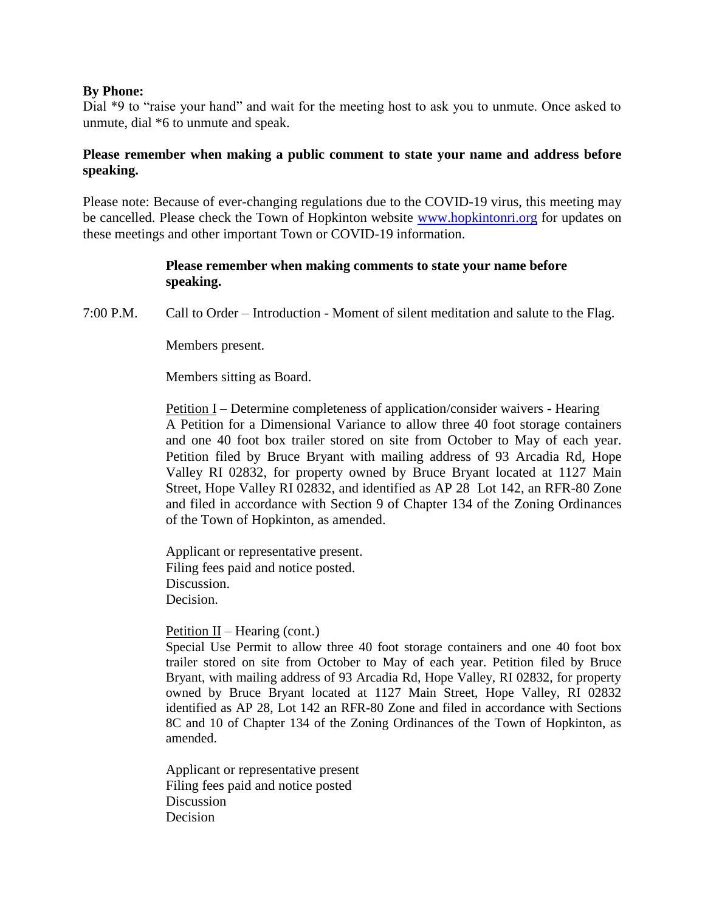### **By Phone:**

Dial \*9 to "raise your hand" and wait for the meeting host to ask you to unmute. Once asked to unmute, dial \*6 to unmute and speak.

# **Please remember when making a public comment to state your name and address before speaking.**

Please note: Because of ever-changing regulations due to the COVID-19 virus, this meeting may be cancelled. Please check the Town of Hopkinton website [www.hopkintonri.org](http://www.hopkintonri.org/) for updates on these meetings and other important Town or COVID-19 information.

## **Please remember when making comments to state your name before speaking.**

7:00 P.M. Call to Order – Introduction - Moment of silent meditation and salute to the Flag.

Members present.

Members sitting as Board.

Petition I – Determine completeness of application/consider waivers - Hearing A Petition for a Dimensional Variance to allow three 40 foot storage containers and one 40 foot box trailer stored on site from October to May of each year. Petition filed by Bruce Bryant with mailing address of 93 Arcadia Rd, Hope Valley RI 02832, for property owned by Bruce Bryant located at 1127 Main Street, Hope Valley RI 02832, and identified as AP 28 Lot 142, an RFR-80 Zone and filed in accordance with Section 9 of Chapter 134 of the Zoning Ordinances of the Town of Hopkinton, as amended.

Applicant or representative present. Filing fees paid and notice posted. Discussion. Decision.

Petition  $II$  – Hearing (cont.)

Special Use Permit to allow three 40 foot storage containers and one 40 foot box trailer stored on site from October to May of each year. Petition filed by Bruce Bryant, with mailing address of 93 Arcadia Rd, Hope Valley, RI 02832, for property owned by Bruce Bryant located at 1127 Main Street, Hope Valley, RI 02832 identified as AP 28, Lot 142 an RFR-80 Zone and filed in accordance with Sections 8C and 10 of Chapter 134 of the Zoning Ordinances of the Town of Hopkinton, as amended.

Applicant or representative present Filing fees paid and notice posted **Discussion** Decision